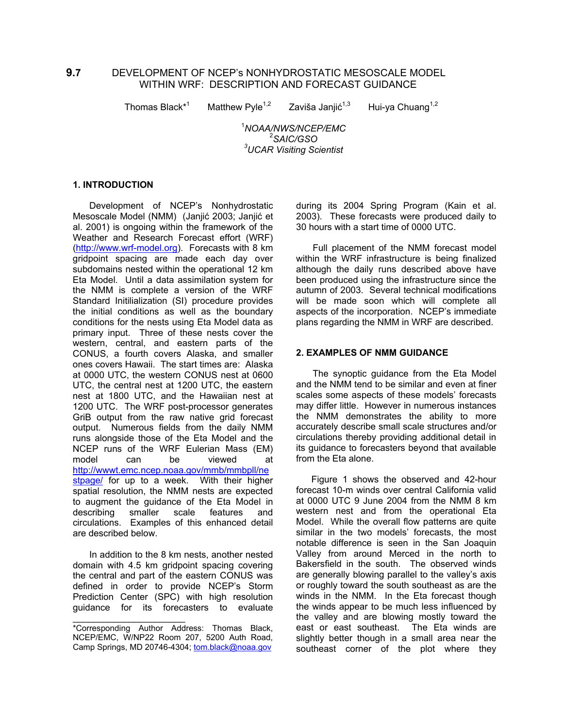# **9.7** DEVELOPMENT OF NCEP's NONHYDROSTATIC MESOSCALE MODEL WITHIN WRF: DESCRIPTION AND FORECAST GUIDANCE

Thomas Black\*<sup>1</sup>

Matthew Pyle<sup>1,2</sup> Zaviša Janjić<sup>1,3</sup>

Hui-ya Chuang $1,2$ 

 1 *NOAA/NWS/NCEP/EMC* 2 *SAIC/GSO 3 UCAR Visiting Scientist* 

### **1. INTRODUCTION**

 Development of NCEP's Nonhydrostatic Mesoscale Model (NMM) (Janjić 2003; Janjić et al. 2001) is ongoing within the framework of the Weather and Research Forecast effort (WRF) ([http://www.wrf-model.org](http://www.wrf-model.org/)). Forecasts with 8 km gridpoint spacing are made each day over subdomains nested within the operational 12 km Eta Model. Until a data assimilation system for the NMM is complete a version of the WRF Standard Initilialization (SI) procedure provides the initial conditions as well as the boundary conditions for the nests using Eta Model data as primary input. Three of these nests cover the western, central, and eastern parts of the CONUS, a fourth covers Alaska, and smaller ones covers Hawaii. The start times are: Alaska at 0000 UTC, the western CONUS nest at 0600 UTC, the central nest at 1200 UTC, the eastern nest at 1800 UTC, and the Hawaiian nest at 1200 UTC. The WRF post-processor generates GriB output from the raw native grid forecast output. Numerous fields from the daily NMM runs alongside those of the Eta Model and the NCEP runs of the WRF Eulerian Mass (EM) model can be viewed at [http://wwwt.emc.ncep.noaa.gov/mmb/mmbpll/ne](http://wwwt.emc.ncep.noaa.gov/mmb/mmbpll/nestpage/) [stpage/](http://wwwt.emc.ncep.noaa.gov/mmb/mmbpll/nestpage/) for up to a week. With their higher spatial resolution, the NMM nests are expected to augment the guidance of the Eta Model in describing smaller scale features and circulations. Examples of this enhanced detail are described below.

 In addition to the 8 km nests, another nested domain with 4.5 km gridpoint spacing covering the central and part of the eastern CONUS was defined in order to provide NCEP's Storm Prediction Center (SPC) with high resolution guidance for its forecasters to evaluate

 $\overline{\phantom{a}}$  ,  $\overline{\phantom{a}}$  ,  $\overline{\phantom{a}}$  ,  $\overline{\phantom{a}}$  ,  $\overline{\phantom{a}}$  ,  $\overline{\phantom{a}}$  ,  $\overline{\phantom{a}}$  ,  $\overline{\phantom{a}}$  ,  $\overline{\phantom{a}}$  ,  $\overline{\phantom{a}}$  ,  $\overline{\phantom{a}}$  ,  $\overline{\phantom{a}}$  ,  $\overline{\phantom{a}}$  ,  $\overline{\phantom{a}}$  ,  $\overline{\phantom{a}}$  ,  $\overline{\phantom{a}}$ 

during its 2004 Spring Program (Kain et al. 2003). These forecasts were produced daily to 30 hours with a start time of 0000 UTC.

 Full placement of the NMM forecast model within the WRF infrastructure is being finalized although the daily runs described above have been produced using the infrastructure since the autumn of 2003. Several technical modifications will be made soon which will complete all aspects of the incorporation. NCEP's immediate plans regarding the NMM in WRF are described.

### **2. EXAMPLES OF NMM GUIDANCE**

The synoptic guidance from the Eta Model and the NMM tend to be similar and even at finer scales some aspects of these models' forecasts may differ little. However in numerous instances the NMM demonstrates the ability to more accurately describe small scale structures and/or circulations thereby providing additional detail in its guidance to forecasters beyond that available from the Eta alone.

 Figure 1 shows the observed and 42-hour forecast 10-m winds over central California valid at 0000 UTC 9 June 2004 from the NMM 8 km western nest and from the operational Eta Model. While the overall flow patterns are quite similar in the two models' forecasts, the most notable difference is seen in the San Joaquin Valley from around Merced in the north to Bakersfield in the south. The observed winds are generally blowing parallel to the valley's axis or roughly toward the south southeast as are the winds in the NMM. In the Eta forecast though the winds appear to be much less influenced by the valley and are blowing mostly toward the east or east southeast. The Eta winds are slightly better though in a small area near the southeast corner of the plot where they

<sup>\*</sup>Corresponding Author Address: Thomas Black, NCEP/EMC, W/NP22 Room 207, 5200 Auth Road, Camp Springs, MD 20746-4304; [tom.black@noaa.gov](mailto:tom.black@noaa.gov)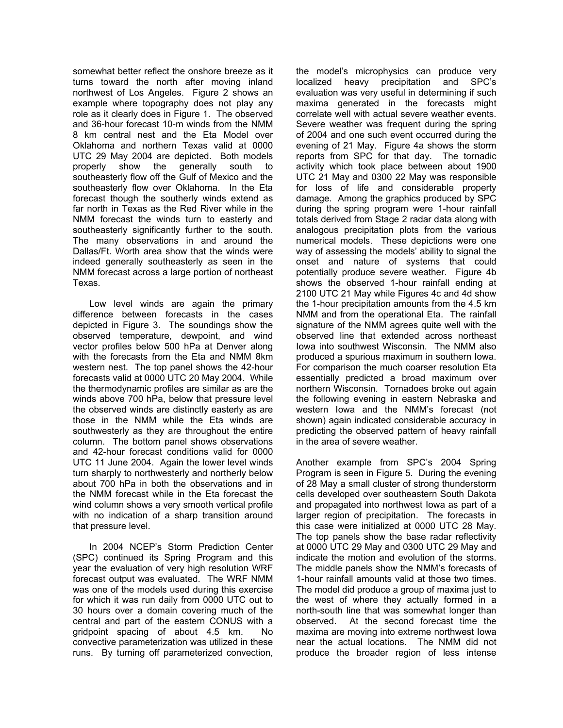somewhat better reflect the onshore breeze as it turns toward the north after moving inland northwest of Los Angeles. Figure 2 shows an example where topography does not play any role as it clearly does in Figure 1. The observed and 36-hour forecast 10-m winds from the NMM 8 km central nest and the Eta Model over Oklahoma and northern Texas valid at 0000 UTC 29 May 2004 are depicted. Both models properly show the generally south to southeasterly flow off the Gulf of Mexico and the southeasterly flow over Oklahoma. In the Eta forecast though the southerly winds extend as far north in Texas as the Red River while in the NMM forecast the winds turn to easterly and southeasterly significantly further to the south. The many observations in and around the Dallas/Ft. Worth area show that the winds were indeed generally southeasterly as seen in the NMM forecast across a large portion of northeast Texas.

 Low level winds are again the primary difference between forecasts in the cases depicted in Figure 3. The soundings show the observed temperature, dewpoint, and wind vector profiles below 500 hPa at Denver along with the forecasts from the Eta and NMM 8km western nest. The top panel shows the 42-hour forecasts valid at 0000 UTC 20 May 2004. While the thermodynamic profiles are similar as are the winds above 700 hPa, below that pressure level the observed winds are distinctly easterly as are those in the NMM while the Eta winds are southwesterly as they are throughout the entire column. The bottom panel shows observations and 42-hour forecast conditions valid for 0000 UTC 11 June 2004. Again the lower level winds turn sharply to northwesterly and northerly below about 700 hPa in both the observations and in the NMM forecast while in the Eta forecast the wind column shows a very smooth vertical profile with no indication of a sharp transition around that pressure level.

 In 2004 NCEP's Storm Prediction Center (SPC) continued its Spring Program and this year the evaluation of very high resolution WRF forecast output was evaluated. The WRF NMM was one of the models used during this exercise for which it was run daily from 0000 UTC out to 30 hours over a domain covering much of the central and part of the eastern CONUS with a gridpoint spacing of about 4.5 km. No convective parameterization was utilized in these runs. By turning off parameterized convection,

the model's microphysics can produce very localized heavy precipitation and SPC's evaluation was very useful in determining if such maxima generated in the forecasts might correlate well with actual severe weather events. Severe weather was frequent during the spring of 2004 and one such event occurred during the evening of 21 May. Figure 4a shows the storm reports from SPC for that day. The tornadic activity which took place between about 1900 UTC 21 May and 0300 22 May was responsible for loss of life and considerable property damage. Among the graphics produced by SPC during the spring program were 1-hour rainfall totals derived from Stage 2 radar data along with analogous precipitation plots from the various numerical models. These depictions were one way of assessing the models' ability to signal the onset and nature of systems that could potentially produce severe weather. Figure 4b shows the observed 1-hour rainfall ending at 2100 UTC 21 May while Figures 4c and 4d show the 1-hour precipitation amounts from the 4.5 km NMM and from the operational Eta. The rainfall signature of the NMM agrees quite well with the observed line that extended across northeast Iowa into southwest Wisconsin. The NMM also produced a spurious maximum in southern Iowa. For comparison the much coarser resolution Eta essentially predicted a broad maximum over northern Wisconsin. Tornadoes broke out again the following evening in eastern Nebraska and western Iowa and the NMM's forecast (not shown) again indicated considerable accuracy in predicting the observed pattern of heavy rainfall in the area of severe weather.

Another example from SPC's 2004 Spring Program is seen in Figure 5. During the evening of 28 May a small cluster of strong thunderstorm cells developed over southeastern South Dakota and propagated into northwest Iowa as part of a larger region of precipitation. The forecasts in this case were initialized at 0000 UTC 28 May. The top panels show the base radar reflectivity at 0000 UTC 29 May and 0300 UTC 29 May and indicate the motion and evolution of the storms. The middle panels show the NMM's forecasts of 1-hour rainfall amounts valid at those two times. The model did produce a group of maxima just to the west of where they actually formed in a north-south line that was somewhat longer than observed. At the second forecast time the maxima are moving into extreme northwest Iowa near the actual locations. The NMM did not produce the broader region of less intense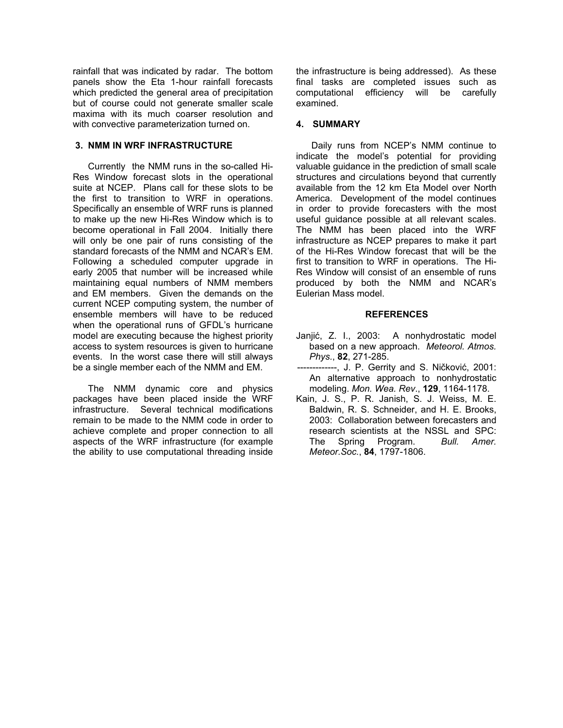rainfall that was indicated by radar. The bottom panels show the Eta 1-hour rainfall forecasts which predicted the general area of precipitation but of course could not generate smaller scale maxima with its much coarser resolution and with convective parameterization turned on.

### **3. NMM IN WRF INFRASTRUCTURE**

 Currently the NMM runs in the so-called Hi-Res Window forecast slots in the operational suite at NCEP. Plans call for these slots to be the first to transition to WRF in operations. Specifically an ensemble of WRF runs is planned to make up the new Hi-Res Window which is to become operational in Fall 2004. Initially there will only be one pair of runs consisting of the standard forecasts of the NMM and NCAR's EM. Following a scheduled computer upgrade in early 2005 that number will be increased while maintaining equal numbers of NMM members and EM members. Given the demands on the current NCEP computing system, the number of ensemble members will have to be reduced when the operational runs of GFDL's hurricane model are executing because the highest priority access to system resources is given to hurricane events. In the worst case there will still always be a single member each of the NMM and EM.

 The NMM dynamic core and physics packages have been placed inside the WRF infrastructure. Several technical modifications remain to be made to the NMM code in order to achieve complete and proper connection to all aspects of the WRF infrastructure (for example the ability to use computational threading inside the infrastructure is being addressed). As these final tasks are completed issues such as computational efficiency will be carefully examined.

# **4. SUMMARY**

 Daily runs from NCEP's NMM continue to indicate the model's potential for providing valuable guidance in the prediction of small scale structures and circulations beyond that currently available from the 12 km Eta Model over North America. Development of the model continues in order to provide forecasters with the most useful guidance possible at all relevant scales. The NMM has been placed into the WRF infrastructure as NCEP prepares to make it part of the Hi-Res Window forecast that will be the first to transition to WRF in operations. The Hi-Res Window will consist of an ensemble of runs produced by both the NMM and NCAR's Eulerian Mass model.

## **REFERENCES**

- Janjić, Z. I., 2003: A nonhydrostatic model based on a new approach. *Meteorol. Atmos. Phys.*, **82**, 271-285.
- -------------, J. P. Gerrity and S. Ničković, 2001: An alternative approach to nonhydrostatic modeling. *Mon. Wea. Rev*., **129**, 1164-1178.
- Kain, J. S., P. R. Janish, S. J. Weiss, M. E. Baldwin, R. S. Schneider, and H. E. Brooks, 2003: Collaboration between forecasters and research scientists at the NSSL and SPC: The Spring Program. *Bull. Amer. Meteor.Soc.*, **84**, 1797-1806.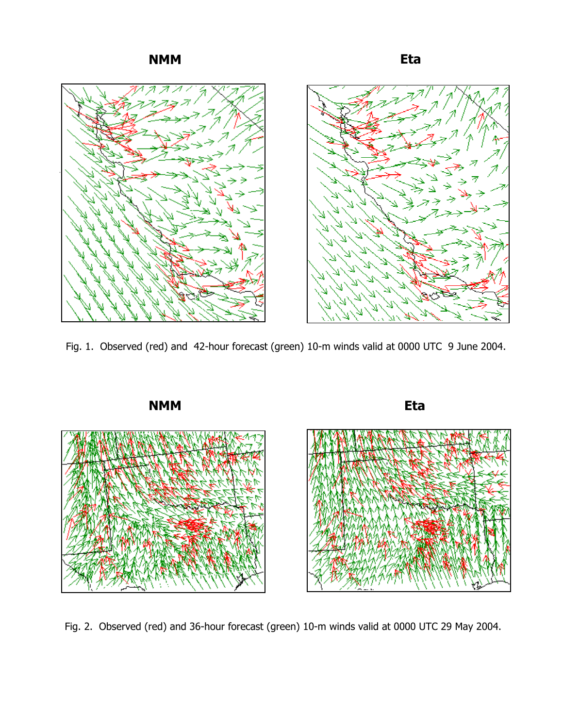**NMM Eta** 



Fig. 1. Observed (red) and 42-hour forecast (green) 10-m winds valid at 0000 UTC 9 June 2004.



Fig. 2. Observed (red) and 36-hour forecast (green) 10-m winds valid at 0000 UTC 29 May 2004.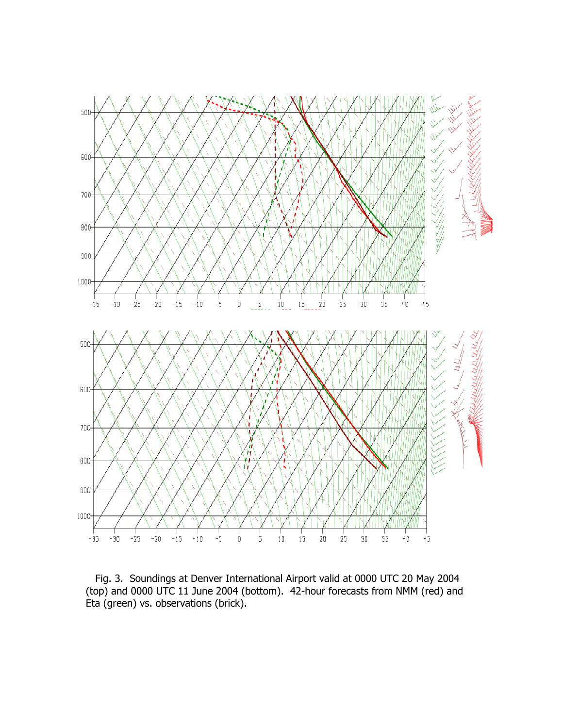

Fig. 3. Soundings at Denver International Airport valid at 0000 UTC 20 May 2004 (top) and 0000 UTC 11 June 2004 (bottom). 42-hour forecasts from NMM (red) and Eta (green) vs. observations (brick).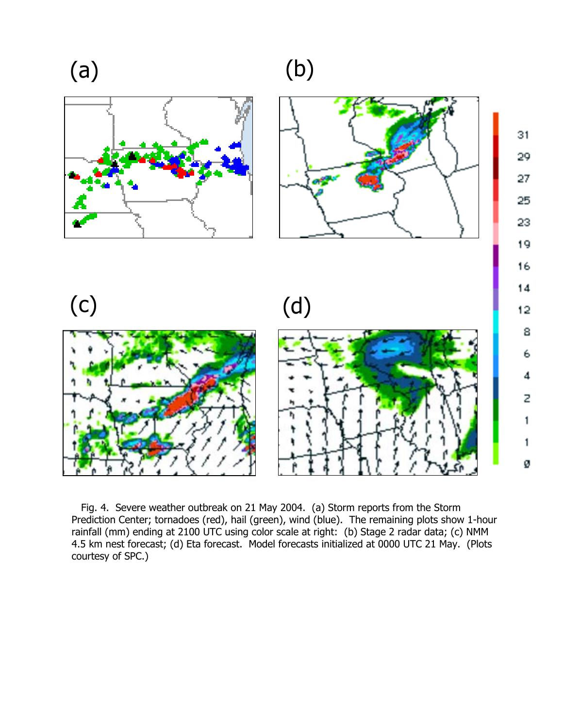(a) (b)



8

6

4

Z

1

1

Ø

 Fig. 4. Severe weather outbreak on 21 May 2004. (a) Storm reports from the Storm Prediction Center; tornadoes (red), hail (green), wind (blue). The remaining plots show 1-hour rainfall (mm) ending at 2100 UTC using color scale at right: (b) Stage 2 radar data; (c) NMM 4.5 km nest forecast; (d) Eta forecast. Model forecasts initialized at 0000 UTC 21 May. (Plots courtesy of SPC.)